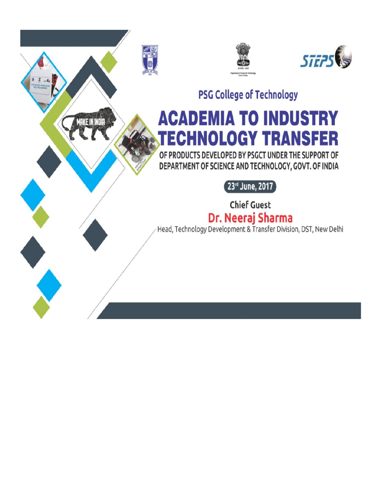

**MAKE IN INDIA** 





**PSG College of Technology** 

# **ACADEMIA TO INDUSTRY FECHNOLOGY TRANSFER**

OF PRODUCTS DEVELOPED BY PSGCT UNDER THE SUPPORT OF DEPARTMENT OF SCIENCE AND TECHNOLOGY, GOVT. OF INDIA

 $\left[23^{\text{\tiny{rd}}}$  June, 2017 $\right]$ 

**Chief Guest** 

**Dr. Neeraj Sharma**<br>Head, Technology Development & Transfer Division, DST, New Delhi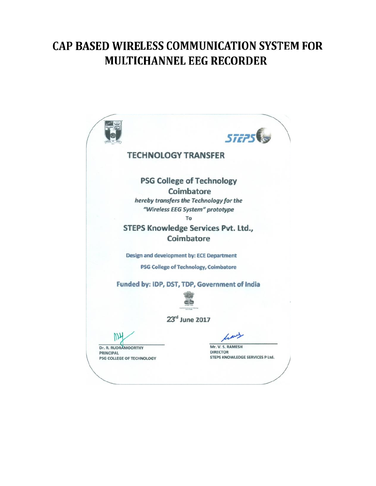# **CAP BASED WIRELESS COMMUNICATION SYSTEM FOR MULTICHANNEL EEG RECORDER**

**STEPS TECHNOLOGY TRANSFER PSG College of Technology** Coimbatore hereby transfers the Technology for the "Wireless EEG System" prototype To **STEPS Knowledge Services Pvt. Ltd.,** Coimbatore Design and development by: ECE Department **PSG College of Technology, Coimbatore** Funded by: IDP, DST, TDP, Government of India 23rd June 2017 Mr. V. S. RAMESH Dr. R. RUDRAMOORTHY **DIRECTOR PRINCIPAL** STEPS KNOWLEDGE SERVICES P Ltd. PSG COLLEGE OF TECHNOLOGY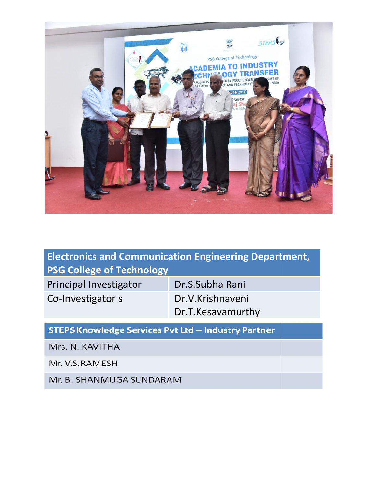

# **Electronics and Communication Engineering Department, PSG College of Technology**

Principal Investigator | Dr.S.Subha Rani

Co-Investigator s Co-Investigator s Dr.T.Kesavamurthy

### **STEPS Knowledge Services Pvt Ltd - Industry Partner**

Mrs. N. KAVITHA

Mr. V.S.RAMESH

Mr. B. SHANMUGA SUNDARAM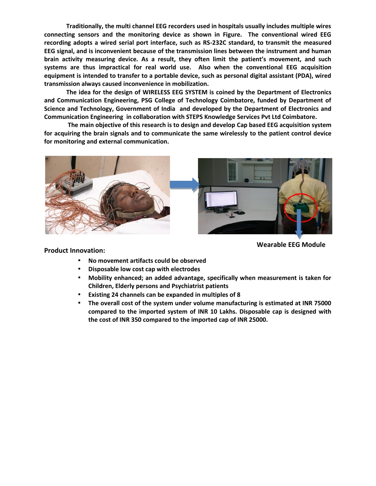**Traditionally, the multi channel EEG recorders used in hospitals usually includes multiple wires connecting sensors and the monitoring device as shown in Figure. The conventional wired EEG recording adopts a wired serial port interface, such as RS-232C standard, to transmit the measured EEG signal, and is inconvenient because of the transmission lines between the instrument and human brain activity measuring device. As a result, they often limit the patient's movement, and such systems are thus impractical for real world use. Also when the conventional EEG acquisition equipment is intended to transfer to a portable device, such as personal digital assistant (PDA), wired transmission always caused inconvenience in mobilization. lly, the multi channel EEG recorders used in hospitals usually includes multiple wires** rs and the monitoring device as shown in Figure. The conventional wired EEG a wired serial port interface, such as RS-232C standard,

**The idea for the design of WIRELESS EEG SYSTEM is coined by the Department of Electronics and Communication Engineering, PSG College of Technology Coimbatore, funded by Department of Science and Technology, Government of India and developed by the Department of Electronics and**

Communication Engineering in collaboration with STEPS Knowledge Services Pvt Ltd Coimbatore.<br>The main objective of this research is to design and develop Cap based EEG acquisition system<br>for acquiring the brain signals and **The main objective of this research is to design and develop Cap based EEG acquisition system for acquiring the brain signals and to communicate the same wirelessly to the patient control device for monitoring and external communication.**



#### **Product Innovation:**

**Wearable EEG Module**

- **No movement artifacts could be observed could be**
- **Disposable low cost cap with electrodes**
- **Mobility enhanced; an added advantage, specifically when measurement is taken for Children, Elderly persons and Psychiatrist patients Children, Elderly persons and Psychiatrist patients<br>• Existing 24 channels can be expanded in multiples of 8**
- 
- **The overall cost of the system under volume manufacturing is estimated at INR 75000 compared to the imported system of INR 10 Lakhs. Disposable cap is designed with the cost of INR 350 compared to the imported cap of INR 25000. the manufacts could be observed**<br> **the cap with electrodes**<br> **the manufacturing is in added advantage, specifically when measurement is taken for**<br> **the system under volume manufacturing is estimated at INR 75000**<br> **the s**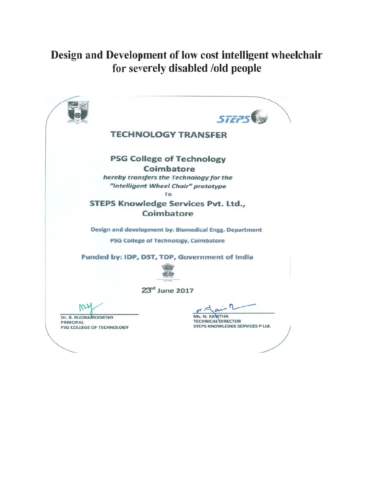## Design and Development of low cost intelligent wheelchair for severely disabled /old people

**STEPS TECHNOLOGY TRANSFER PSG College of Technology** Coimbatore hereby transfers the Technology for the "Intelligent Wheel Chair" prototype To **STEPS Knowledge Services Pvt. Ltd., Coimbatore** Design and development by: Biomedical Engg. Department PSG College of Technology, Coimbatore Funded by: IDP, DST, TDP, Government of India 23rd June 2017 Ms. N. KANITHA Dr. R. RUDRAMOORTHY **TECHNICAL DIRECTOR PRINCIPAL** STEPS KNOWLEDGE SERVICES P Ltd. PSG COLLEGE OF TECHNOLOGY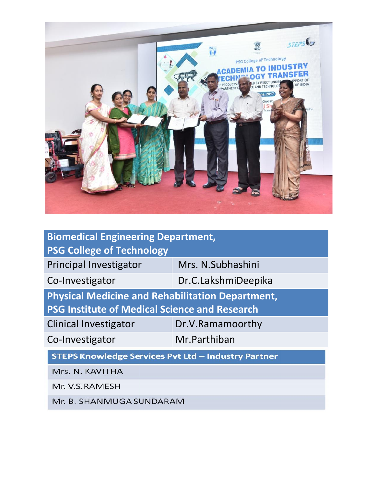

| <b>Biomedical Engineering Department,</b><br><b>PSG College of Technology</b> |                     |
|-------------------------------------------------------------------------------|---------------------|
| <b>Principal Investigator</b>                                                 | Mrs. N.Subhashini   |
| Co-Investigator                                                               | Dr.C.LakshmiDeepika |
| <b>Physical Medicine and Rehabilitation Department,</b>                       |                     |
| <b>PSG Institute of Medical Science and Research</b>                          |                     |
| <b>Clinical Investigator</b>                                                  | Dr.V.Ramamoorthy    |
| Co-Investigator                                                               | Mr.Parthiban        |
| <b>STEPS Knowledge Services Pvt Ltd - Industry Partner</b>                    |                     |
| Mrs. N. KAVITHA                                                               |                     |
| Mr. V.S.RAMESH                                                                |                     |
| Mr. B. SHANMUGA SUNDARAM                                                      |                     |